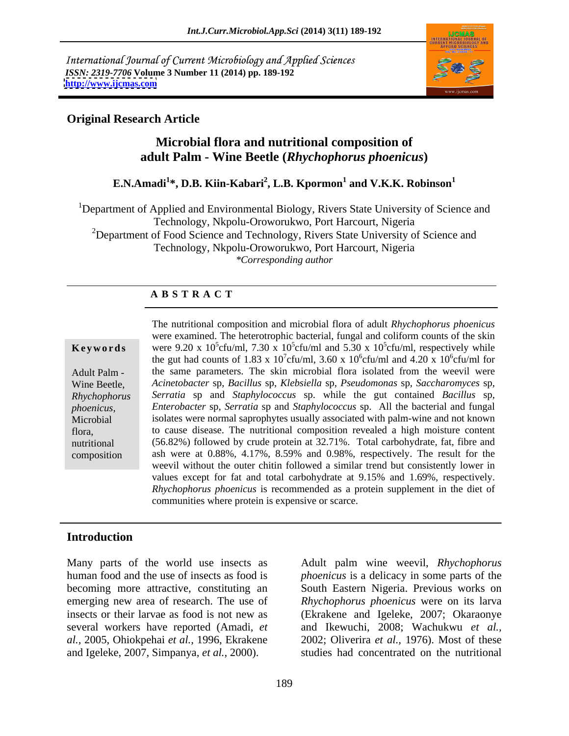International Journal of Current Microbiology and Applied Sciences *ISSN: 2319-7706* **Volume 3 Number 11 (2014) pp. 189-192 <http://www.ijcmas.com>**



## **Original Research Article**

# **Microbial flora and nutritional composition of adult Palm - Wine Beetle (***Rhychophorus phoenicus***)**

### **E.N.Amadi<sup>1</sup>\*, D.B. Kiin-Kabari<sup>2</sup>, L.B. Kpormon<sup>1</sup> and V.K.K. Robinson<sup>1</sup> and V.K.K. Robinson<sup>1</sup>**

<sup>1</sup>Department of Applied and Environmental Biology, Rivers State University of Science and Technology, Nkpolu-Oroworukwo, Port Harcourt, Nigeria <sup>2</sup>Department of Food Science and Technology, Rivers State University of Science and Technology, Nkpolu-Oroworukwo, Port Harcourt, Nigeria *\*Corresponding author*

### **A B S T R A C T**

**Keywords** were 9.20 x  $10^5$ cfu/ml, 7.30 x  $10^5$ cfu/ml and 5.30 x  $10^5$ cfu/ml, respectively while Adult Palm - the same parameters. The skin microbial flora isolated from the weevil were Wine Beetle, *Acinetobacter* sp, *Bacillus* sp, *Klebsiella* sp, *Pseudomonas* sp, *Saccharomyces* sp, *Rhychophorus Serratia* sp and *Staphylococcus* sp. while the gut contained *Bacillus* sp, *phoenicus, Enterobacter* sp, *Serratia* sp and *Staphylococcus* sp. All the bacterial and fungal Microbial isolates were normal saprophytes usually associated with palm-wine and not known flora, to cause disease. The nutritional composition revealed a high moisture content nutritional (56.82%) followed by crude protein at 32.71%. Total carbohydrate, fat, fibre and composition ash were at 0.88%, 4.17%, 8.59% and 0.98%, respectively. The result for the The nutritional composition and microbial flora of adult *Rhychophorus phoenicus* were examined. The heterotrophic bacterial, fungal and coliform counts of the skin cfu/ml, respectively while the gut had counts of 1.83 x 10<sup>7</sup>cfu/ml, 3.60 x 10<sup>6</sup>cfu/ml and 4.20 x 10<sup>6</sup>cfu/ml for  $6\text{cm/m}$  for cfu/ml for weevil without the outer chitin followed a similar trend but consistently lower in values except for fat and total carbohydrate at 9.15% and 1.69%, respectively. *Rhychophorus phoenicus* is recommended as a protein supplement in the diet of communities where protein is expensive or scarce.

### **Introduction**

Many parts of the world use insects as Adult palm wine weevil, *Rhychophorus*  human food and the use of insects as food is *phoenicus* is a delicacy in some parts of the becoming more attractive, constituting an South Eastern Nigeria. Previous works on emerging new area of research. The use of *Rhychophorus phoenicus* were on its larva insects or their larvae as food is not new as (Ekrakene and Igeleke, 2007; Okaraonye several workers have reported (Amadi, *et*  and Ikewuchi, 2008; Wachukwu *et al., al.,* 2005, Ohiokpehai *et al.,* 1996, Ekrakene 2002; Oliverira *et al.,* 1976). Most of these and Igeleke, 2007, Simpanya, *et al.,* 2000).

studies had concentrated on the nutritional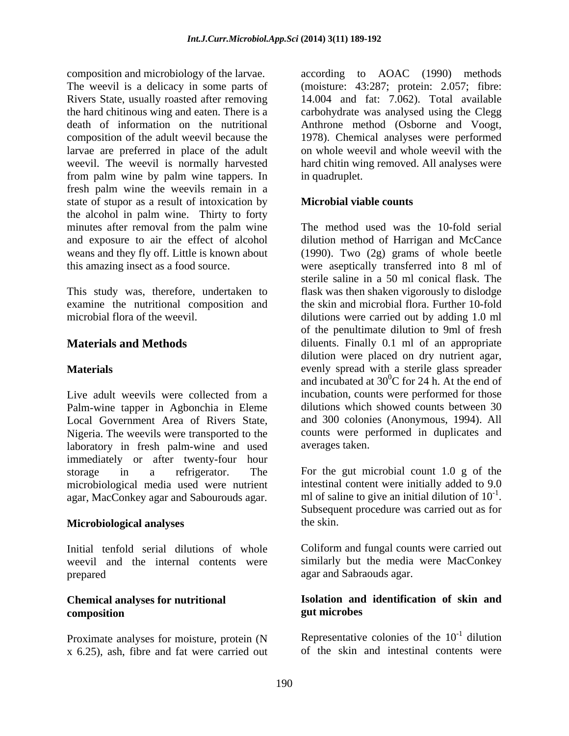composition and microbiology of the larvae. according to AOAC (1990) methods The weevil is a delicacy in some parts of (moisture: 43:287; protein: 2.057; fibre: Rivers State, usually roasted after removing the hard chitinous wing and eaten. There is a carbohydrate was analysed using the Clegg death of information on the nutritional Anthrone method (Osborne and Voogt, composition of the adult weevil because the 1978). Chemical analyses were performed larvae are preferred in place of the adult on whole weevil and whole weevil with the weevil. The weevil is normally harvested hard chitin wing removed. All analyses were from palm wine by palm wine tappers. In fresh palm wine the weevils remain in a state of stupor as a result of intoxication by **Microbial viable counts** the alcohol in palm wine. Thirty to forty minutes after removal from the palm wine and exposure to air the effect of alcohol weans and they fly off. Little is known about (1990). Two (2g) grams of whole beetle this amazing insect as a food source. were aseptically transferred into 8 ml of

microbial flora of the weevil.

Live adult weevils were collected from a incubation, counts were performed for those Palm-wine tapper in Agbonchia in Eleme Local Government Area of Rivers State, Nigeria. The weevils were transported to the counts were performed in duplicates and laboratory in fresh palm-wine and used immediately or after twenty-four hour storage in a refrigerator. The For the gut microbial count 1.0 g of the microbiological media used were nutrient

### **Microbiological analyses** the skin.

prepared agar and Sabraouds agar.

Proximate analyses for moisture, protein (N x 6.25), ash, fibre and fat were carried out 14.004 and fat: 7.062). Total available in quadruplet.

### **Microbial viable counts**

This study was, therefore, undertaken to flask was then shaken vigorously to dislodge examine the nutritional composition and the skin and microbial flora. Further 10-fold **Materials and Methods diluents**. Finally 0.1 ml of an appropriate **Materials** evenly spread with a sterile glass spreader The method used was the 10-fold serial dilution method of Harrigan and McCance sterile saline in a 50 ml conical flask. The dilutions were carried out by adding 1.0 ml of the penultimate dilution to 9ml of fresh dilution were placed on dry nutrient agar, and incubated at  $30^0C$  for 24 h. At the end of incubation, counts were performed for those dilutions which showed counts between 30 and 300 colonies (Anonymous, 1994). All averages taken.

agar, MacConkey agar and Sabourouds agar. In of saline to give an initial dilution of  $10^{-1}$ .<br>Subsequent procedure was carried out as for intestinal content were initially added to 9.0 ml of saline to give an initial dilution of  $10^{-1}$ . ml of saline to give an initial dilution of 10<sup>-1</sup>.<br>Subsequent procedure was carried out as for the skin.

Initial tenfold serial dilutions of whole Coliform and fungal counts were carried out weevil and the internal contents were similarly but the media were MacConkey

### **Chemical analyses for nutritional Isolation and identification of skin and composition gut microbes**

Representative colonies of the  $10^{-1}$  dilution  $-1$  dilution dilution and the state of the state of the state of the state of the state of the state of the state of the sta of the skin and intestinal contents were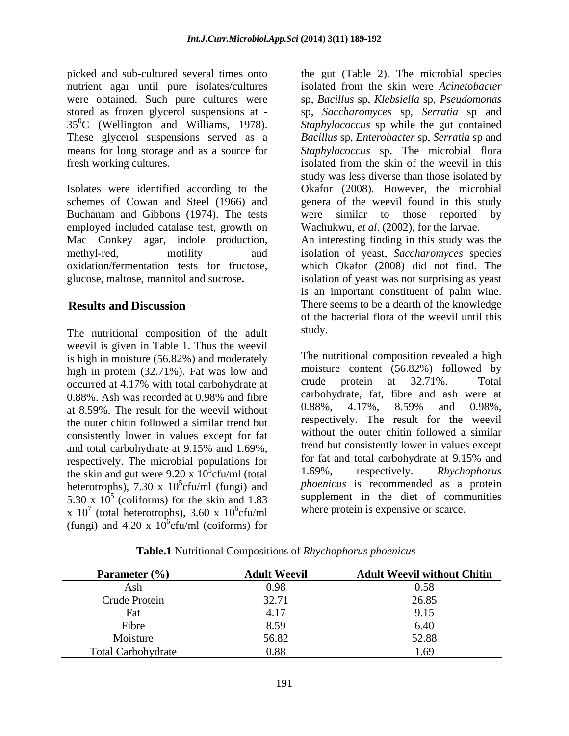nutrient agar until pure isolates/cultures

Isolates were identified according to the Okafor (2008). However, the microbial schemes of Cowan and Steel (1966) and Buchanam and Gibbons (1974). The tests were similar to those reported by employed included catalase test, growth on Mac Conkey agar, indole production, An interesting finding in this study was the methyl-red, motility and isolation of yeast, *Saccharomyces* species oxidation/fermentation tests for fructose, which Okafor (2008) did not find. The glucose, maltose, mannitol and sucrose**.** isolation of yeast was not surprising as yeast

The nutritional composition of the adult study. weevil is given in Table 1. Thus the weevil is high in moisture (56.82%) and moderately high in protein (32.71%). Fat was low and moisture content (56.82%) followed by<br>occurred at 4.17% with total carbohydrate at crude protein at 32.71%. Total at 8.59%. The result for the weevil without  $0.88\%$ ,  $4.17\%$ ,  $8.59\%$  and  $0.98\%$ , the outer chitin followed a similar trend but consistently lower in values except for fat and total carbohydrate at 9.15% and 1.69%, respectively. The microbial populations for for tat and total carbohydrate at 9.15% and<br>the skin and gut were 9.20 x  $10^5$ cfu/ml (total  $1.69\%$ , respectively. *Rhychophorus* the skin and gut were  $9.20 \times 10^{5}$ cfu/ml (total heterotrophs), 7.30 x  $10^5$ cfu/ml (fungi) and x  $10^7$  (total heterotrophs), 3.60 x  $10^6$ cfu/ml where protein is expensive or scarce. (fungi) and 4.20 x  $10^6$ cfu/ml (coiforms) for

picked and sub-cultured several times onto the gut (Table 2). The microbial species were obtained. Such pure cultures were sp, *Bacillus* sp, *Klebsiella* sp, *Pseudomonas* stored as frozen glycerol suspensions at - sp, *Saccharomyces* sp, *Serratia* sp and 350C (Wellington and Williams, 1978). *Staphylococcus* sp while the gut contained These glycerol suspensions served as a *Bacillus* sp, *Enterobacter* sp, *Serratia* sp and means for long storage and as a source for *Staphylococcus* sp. The microbial flora fresh working cultures. isolated from the skin of the weevil in this **Results and Discussion** There seems to be a dearth of the knowledge isolated from the skin were *Acinetobacter* study was less diverse than those isolated by genera of the weevil found in this study were similar to those reported Wachukwu, *et al*. (2002), for the larvae. is an important constituent of palm wine. of the bacterial flora of the weevil until this study.

occurred at 4.17% with total carbohydrate at  $\qquad \qquad \text{crude}$  protein at 32.71%. I otal 0.88%. Ash was recorded at 0.98% and fibre carbonydrate, fat, fibre and ash were at  $\frac{5}{2}$  sty/ml (total  $\frac{1.69\%}{2}$  respectively. Rhychophorus  $ctu/ml$  (total  $1.69\%$ , respectively. *Rhychophorus* 5 cfu/ml (fungi) and *phoenicus* is recommended as a protein 5.30 x 10<sup>5</sup> (coliforms) for the skin and 1.83 supplement in the diet of communities  $\frac{5}{2}$  (coliforms) for the skin and 1.83 supplement in the diet of communities <sup>6</sup>cfu/ml where protein is expensive or scarce. The nutritional composition revealed a high moisture content (56.82%) followed by crude protein at 32.71%. Total carbohydrate, fat, fibre and ash were at 0.88%, 4.17%, 8.59% and 0.98%, respectively. The result for the weevil without the outer chitin followed a similar trend but consistently lower in values except for fat and total carbohydrate at 9.15% and 1.69%, respectively. *Rhychophorus* 

| Parameter $(\% )$  | <b>Adult Weevil</b> | <b>Adult Weevil without Chitin</b> |
|--------------------|---------------------|------------------------------------|
| ASII               | 0.90                | 0.58                               |
| Crude Protein      | $\sim$ $\sim$<br>،  | 26.85                              |
|                    |                     | 9.15                               |
| Fibre              |                     | 6.40                               |
| Moisture           | 56.82               | 52.88                              |
| Total Carbohydrate | 0.88                | 1.02                               |

**Table.1** Nutritional Compositions of *Rhychophorus phoenicus*